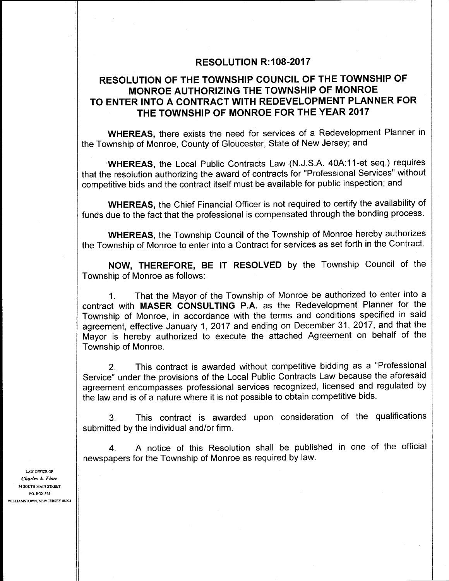# **RESOLUTION R:108-2017**

# RESOLUTION OF THE TOWNSHIP COUNCIL OF THE TOWNSHIP OF MONROE AUTHORIZING THE TOWNSHIP OF MONROE TO ENTER INTO A CONTRACT WITH REDEVELOPMENT PLANNER FOR THE TOWNSHIP OF MONROE FOR THE YEAR 2017

WHEREAS, there exists the need for services of a Redevelopment Planner in the Township of Monroe, County of Gloucester, State of New Jersey; and

WHEREAS, the Local Public Contracts Law (N.J.S.A. 40A:11-et seq.) requires that the resolution authorizing the award of contracts for "Professional Services" without competitive bids and the contract itself must be available for public inspection; and

WHEREAS, the Chief Financial Officer is not required to certify the availability of funds due to the fact that the professional is compensated through the bonding process.

WHEREAS, the Township Council of the Township of Monroe hereby authorizes the Township of Monroe to enter into a Contract for services as set forth in the Contract.

NOW, THEREFORE, BE IT RESOLVED by the Township Council of the Township of Monroe as follows:

1. That the Mayor of the Township of Monroe be authorized to enter into a contract with MASER CONSULTING P.A. as the Redevelopment Planner for the Township of Monroe, in accordance with the terms and conditions specified in said agreement, effective January 1, 2017 and ending on December 31, 2017, and that the Mayor is hereby authorized to execute the attached Agreement on behalf of the Township of Monroe.

2. This contract is awarded without competitive bidding as a "Professional Service" under the provisions of the Local Public Contracts Law because the aforesaid agreement encompasses professional services recognized, licensed and regulated by the law and is of a nature where it is not possible to obtain competitive bids.

3. This contract is awarded upon consideration of the qualifications submitted by the individual and/or firm.

4. A notice of this Resolution shall be published in one of the official newspapers for the Township of Monroe as required by law.

LAW OFFICE OF Charles A. Fiore 34 SOUTH MAIN STREET P.O. BOX 525 WILLIAMSTOWN, NEW JERSEY 08094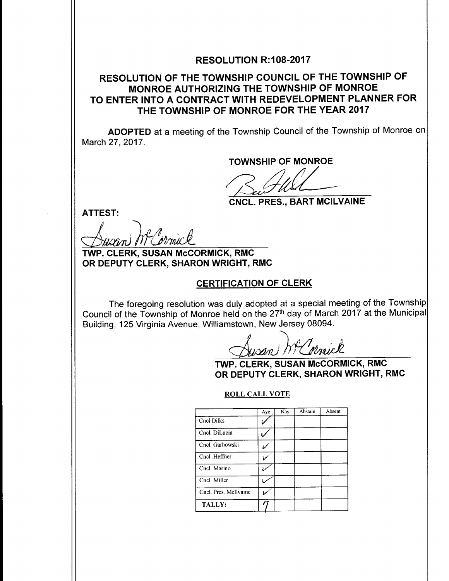# **RESOLUTION R:108-2017**

# RESOLUTION OF THE TOWNSHIP COUNCIL OF THE TOWNSHIP OF MONROE AUTHORIZING THE TOWNSHIP OF MONROE TO ENTER INTO A CONTRACT WITH REDEVELOPMENT PLANNER FOR THE TOWNSHIP OF MONROE FOR THE YEAR 2017

ADOPTED at a meeting of the Township Council of the Township of Monroe on March 27, 2017.

TOWNSHIP OF MONROE

 $\mathcal{U}$ 

CNCL. PRES., BART MCILVAINE

ATTEST:

 $\lambda$ l $\ell$ Ų

TWP. CLERK, SUSAN McCORMICK, RMC OR DEPUTY CLERK, SHARON WRIGHT, RMC

### CERTIFICATION OF CLERK

The foregoing resolution was duly adopted at a special meeting of the Township Council of the Township of Monroe held on the 27th day of March <sup>2017</sup> at the Municipal Building, 125 Virginia Avenue, Williamstown, New Jersey 08094.

wan MC ornick

TWP. CLERK, SUSAN McCORMICK, RMC OR DEPUTY CLERK, SHARON WRIGHT, RMC

#### ROLL CALL VOTE

|                       | Aye | Nay | Abstain | Absent |
|-----------------------|-----|-----|---------|--------|
| Cncl Dilks            |     |     |         |        |
| Cncl. DiLucia         |     |     |         |        |
| Cncl. Garbowski       |     |     |         |        |
| Cncl Heffner          |     |     |         |        |
| Cncl. Marino          |     |     |         |        |
| Cncl. Miller          |     |     |         |        |
| Cncl. Pres. McIlvaine |     |     |         |        |
| TALLY:                |     |     |         |        |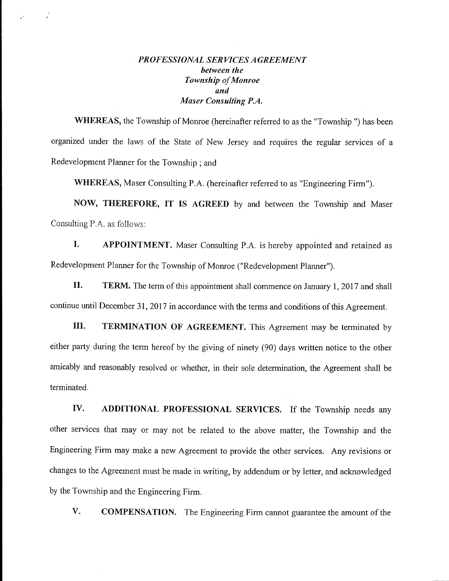# PROFESSIONAL SERVICES AGREEMENT between the Township of Monroe and Maser Consulting P.A.

 $\frac{1}{\epsilon}$ 

WHEREAS, the Township of Monroe (hereinafter referred to as the "Township ") has been organized under the laws of the State of New Jersey and requires the regular services of <sup>a</sup> Redevelopment Planner for the Township ; and

WHEREAS, Maser Consulting P.A. (hereinafter referred to as "Engineering Firm").

NOW, THEREFORE, IT IS AGREED by and between the Township and Maser Consulting P.A. as follows:

I. APPOINTMENT. Maser Consulting P.A. is hereby appointed and retained as Redevelopment Planner for the Township of Monroe ("Redevelopment Planner").

II. TERM. The term of this appointment shall commence on January 1, 2017 and shall continue until December 31, 2017 in accordance with the terms and conditions of this Agreement.

III. TERMINATION. OF AGREEMENT. This Agreement may be terminated by either party during the term hereof by the giving of ninety (90) days written notice to the other amicably and reasonably resolved or whether, in their sole determination, the Agreement shall be terminated.

IV. ADDITIONAL PROFESSIONAL SERVICES. If the Township needs any other services that may or may not be related to the above matter, the Township and the Engineering Firm may make <sup>a</sup> new Agreement to provide the other services. Any revisions or changes to the Agreement must be made in writing, by addendum or by letter, and acknowledged by the Township and the Engineering Firm.

V. COMPENSATION. The Engineering Firm cannot guarantee the amount of the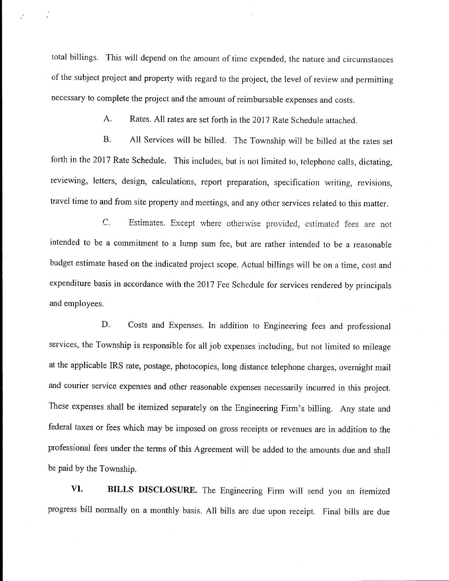total billings. This will depend on the amount of time expended, the nature and circumstances of the subject project and property with regard to the project, the level of review and permitting necessary to complete the project and the amount of reimbursable expenses and costs.

A. Rates. All rates are set forth in the <sup>2017</sup> Rate Schedule attached.

B. All Services will be billed. The Township will be billed at the rates set forth in the <sup>2017</sup> Rate Schedule. This includes, but is not limited to, telephone calls, dictating, reviewing, letters, design, calculations, report preparation, specification writing, revisions, travel time to and from site property and meetings, and any other services related to this matter.

C. Estimates. Except where otherwise provided, estimated fees are not intended to be a commitment to a lump sum fee, but are rather intended to be a reasonable budget estimate based on the indicated project scope. Actual billings will be on <sup>a</sup> time, cost and expenditure basis in accordance with the 2017 Fee Schedule for services rendered by principals and employees.

D. Costs and Expenses. In addition to Engineering fees and professional services, the Township is responsible for all job expenses including, but not limited to mileage at the applicable IRS rate, postage, photocopies, long distance telephone charges, overnight mail and courier service expenses and other reasonable expenses necessarily incurred in this project. These expenses shall be itemized separately on the Engineering Firm's billing. Any state and federal taxes or fees which may be imposed on gross receipts or revenues are in addition to the professional fees under the terms of this Agreement will be added to the amounts due and shall be paid by the Township.

VI. BILLS DISCLOSURE. The Engineering Firm will send you an itemized progress bill normally on <sup>a</sup> monthly basis. All bills are due upon receipt. Final bills are due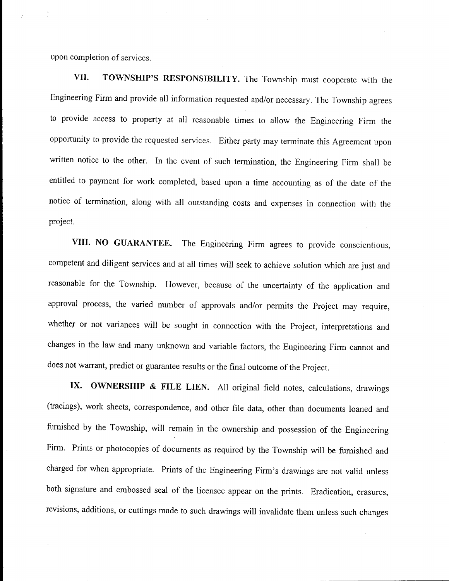upon completion of services.

VII. TOWNSHIP'S RESPONSIBILITY. The Township must cooperate with the Engineering Firm and provide all information requested and/or necessary. The Township agrees to provide access to property at all reasonable times to allow the Engineering Firm the opportunity to provide the requested services. Either party may terminate this Agreement upon written notice to the other. In the event of such termination, the Engineering Firm shall be entitled to payment for work completed, based upon <sup>a</sup> time accounting as of the date of the notice of termination, along with all outstanding costs and expenses in connection with the project.

VIII. NO GUARANTEE. The Engineering Firm agrees to provide conscientious, competent and diligent services and at all times will seek to achieve solution which are just and reasonable for the Township. However, because of the uncertainty of the application and approval process, the varied number of approvals and/or permits the Project may require, whether or not variances will be sought in connection with the Project, interpretations and changes in the law and many unknown and variable factors, the Engineering Firm cannot and does not warrant, predict or guarantee results or the final outcome of the Project.

IX. OWNERSHIP & FILE LIEN. All original field notes, calculations, drawings tracings), work sheets, correspondence, and other file data, other than documents loaned and furnished by the Township, will remain in the ownership and possession of the Engineering Firm. Prints or photocopies of documents as required by the Township will be furnished and charged for when appropriate. Prints of the Engineering Firm's drawings are not valid unless both signature and embossed seal of the licensee appear on the prints. Eradication, erasures, revisions, additions, or cuttings made to such drawings will invalidate them unless such changes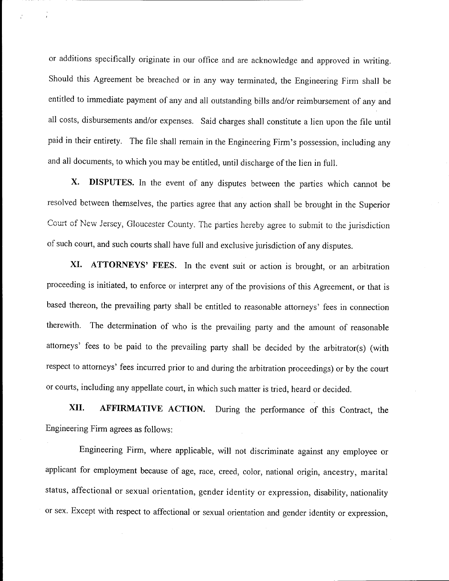or additions specifically originate in our office and are acknowledge and approved in writing. Should this Agreement be breached or in any way terminated, the Engineering Firm shall be entitled to immediate payment of any and all outstanding bills and/or reimbursement of any and all costs, disbursements and/or expenses. Said charges shall constitute <sup>a</sup> lien upon the file until paid in their entirety. The file shall remain in the Engineering Firm's possession, including any and all documents, to which you may be entitled, until discharge of the lien in full.

X. DISPUTES. In the event of any disputes between the parties which cannot be resolved between themselves, the parties agree that any action shall be brought in the Superior Court of New Jersey, Gloucester County. The parties hereby agree to submit to the jurisdiction of such court, and such courts shall have full and exclusive jurisdiction of any disputes.

XI. ATTORNEYS' FEES. In the event suit or action is brought, or an arbitration proceeding is initiated, to enforce or interpret any of the provisions of this Agreement, or that is based thereon, the prevailing party shall be entitled to reasonable attorneys' fees in connection therewith. The determination of who is the prevailing party and the amount of reasonable attorneys' fees to be paid to the prevailing party shall be decided by the arbitrator(s) (with respect to attorneys' fees incurred prior to and during the arbitration proceedings) or by the court or courts, including any appellate court, in which such matter is tried, heard or decided.

XII. AFFIRMATIVE ACTION. During the performance of this Contract, the Engineering Firm agrees as follows:

Engineering Firm, where applicable, will not discriminate against any employee or applicant for employment because of age, race, creed, color, national origin, ancestry, marital status, affectional or sexual orientation, gender identity or expression, disability, nationality or sex. Except with respect to affectional or sexual orientation and gender identity or expression,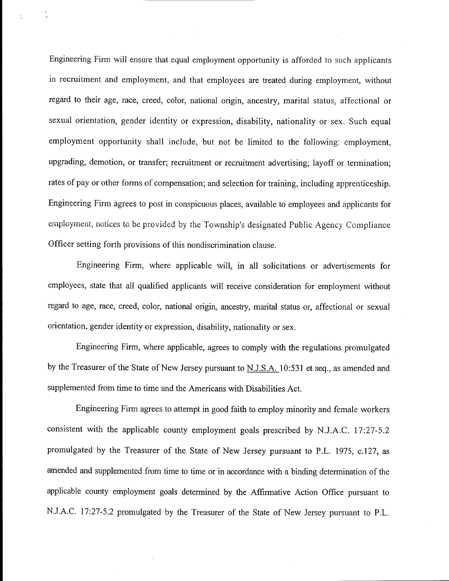Engineering Finn will ensure that equal employment opportunity is afforded to such applicants in recruitment and employment, and that employees are treated during employment, without regard to their age, race, creed, color, national origin, ancestry, marital status, affectional or sexual orientation, gender identity or expression, disability, nationality or sex. Such equal employment opportunity shall include, but not be limited to the following: employment, upgrading, demotion, or transfer; recruitment or recruitment advertising; layoff or termination; rates of pay or other forms of compensation; and selection for training, including apprenticeship. Engineering Firm agrees to post in conspicuous places, available to employees and applicants for employment, notices to be provided by the Township's designated Public Agency Compliance Officer setting forth provisions of this nondiscrimination clause.

Engineering Firm, where applicable will, in all solicitations or advertisements for employees, state that all qualified applicants will receive consideration for employment without regard to age, race, creed, color, national origin, ancestry, marital status or, affectional or sexual orientation, gender identity or expression, disability, nationality or sex.

Engineering Firm, where applicable, agrees to comply with the regulations promulgated by the Treasurer of the State of New Jersey pursuant to N.J.S.A. 10:531 et seq., as amended and supplemented from time to time and the Americans with Disabilities Act.

Engineering Finn agrees to attempt in good faith to employ minority and female workers consistent with the applicable county employment goals prescribed by N.J.A.C. 17:27-5.2 promulgated by the Treasurer of the State of New Jersey pursuant to P.L. 1975, c.127, as amended and supplemented from time to time or in accordance with <sup>a</sup> binding determination of the applicable county employment goals determined by the Affirmative Action Office pursuant to N.J.A.C. 17:27-5.2 promulgated by the Treasurer of the State of New Jersey pursuant to P.L.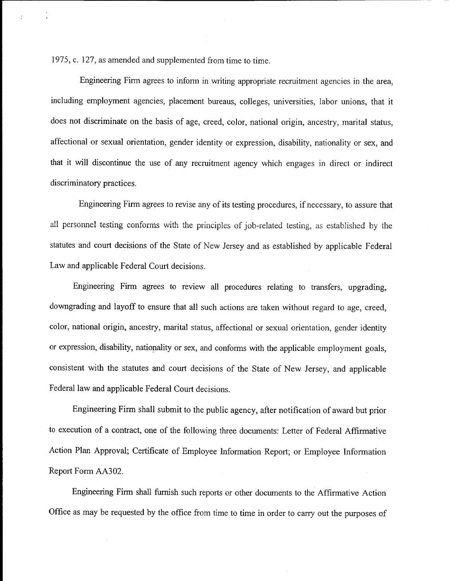1975, c. 127, as amended and supplemented from time to time.

ż

Engineering Firm agrees to inform in writing appropriate recruitment agencies in the area, including employment agencies, placement bureaus, colleges, universities, labor unions, that it does not discriminate on the basis of age, creed, color, national origin, ancestry, marital status, affectional or sexual orientation, gender identity or expression, disability, nationality or sex, and that it will discontinue the use of any recruitment agency which engages in direct or indirect discriminatory practices.

Engineering Firm agrees to revise any of its testing procedures, if necessary, to assure that all personnel testing conforms with the principles of job-related testing, as established by the statutes and court decisions of the State of New Jersey and as established by applicable Federal Law and applicable Federal Court decisions.

Engineering Firm agrees to review all procedures relating to transfers, upgrading, downgrading and layoff to ensure that all such actions are taken without regard to age, creed, color, national origin, ancestry, marital status, affectional or sexual orientation, gender identity or expression, disability, nationality or sex, and conforms with the applicable employment goals, consistent with the statutes and court decisions of the State of New Jersey, and applicable Federal law and applicable Federal Court decisions.

Engineering Firm shall submit to the public agency, after notification of award but prior to execution of a contract, one of the following three documents: Letter of Federal Affirmative Action Plan Approval; Certificate of Employee Information Report; or Employee Information Report Form AA302.

Engineering Firm shall furnish such reports or other documents to the Affirmative Action Office as may be requested by the office from time to time in order to carry out the purposes of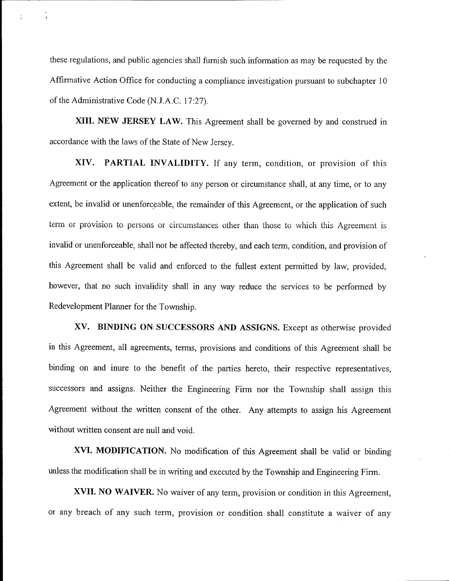these regulations, and public agencies shall furnish such information as may be requested by the Affirmative Action Office for conducting a compliance investigation pursuant to subchapter 10 of the Administrative Code (N.J.A.C. 17:27).

÷

XIII. NEW JERSEY LAW. This Agreement shall be governed by and construed in accordance with the laws of the State of New Jersey.

XIV. PARTIAL INVALIDITY. If any term, condition, or provision of this Agreement or the application thereof to any person or circumstance shall, at any time, or to any extent, be invalid or unenforceable, the remainder of this Agreement, or the application of such term or provision to persons or circumstances other than those to which this Agreement is invalid or unenforceable, shall not be affected thereby, and each term, condition, and provision of this Agreement shall be valid and enforced to the fullest extent permitted by law, provided, however, that no such invalidity shall in any way reduce the services to be performed by Redevelopment Planner for the Township.

XV. BINDING ON SUCCESSORS AND ASSIGNS. Except as otherwise provided in this Agreement, all agreements, terms, provisions and conditions of this Agreement shall be binding on and inure to the benefit of the parties hereto, their respective representatives, successors and assigns. Neither the Engineering Firm nor the Township shall assign this Agreement without the written consent of the other. Any attempts to assign his Agreement without written consent are null and void.

XVI. MODIFICATION. No modification of this Agreement shall be valid or binding unless the modification shall be in writing and executed by the Township and Engineering Firm.

XVII. NO WAIVER. No waiver of any term, provision or condition in this Agreement, or any breach of any such term, provision or condition shall constitute <sup>a</sup> waiver of any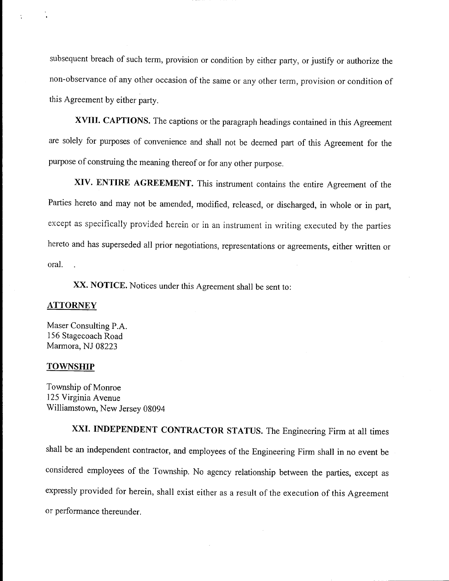subsequent breach of such term, provision or condition by either party, or justify or authorize the non- observance of any other occasion of the same or any other term, provision or condition of this Agreement by either party.

XVIII. CAPTIONS. The captions or the paragraph headings contained in this Agreement are solely for purposes of convenience and shall not be deemed part of this Agreement for the purpose of construing the meaning thereof or for any other purpose.

XIV. ENTIRE AGREEMENT. This instrument contains the entire Agreement of the Parties hereto and may not be amended, modified, released, or discharged, in whole or in part, except as specifically provided herein or in an instrument in writing executed by the parties hereto and has superseded all prior negotiations, representations or agreements, either written or oral. .

XX. NOTICE. Notices under this Agreement shall be sent to:

### ATTORNEY

Maser Consulting P.A. 156 Stagecoach Road Marmora, NJ 08223

#### TOWNSHIP

Township of Monroe 125 Virginia Avenue Williamstown, New Jersey 08094

XXI. INDEPENDENT CONTRACTOR STATUS. The Engineering Firm at all times shall be an independent contractor, and employees of the Engineering Firm shall in no event be considered employees of the Township. No agency relationship between the parties, except as expressly provided for herein, shall exist either as <sup>a</sup> result of the execution of this Agreement or performance thereunder.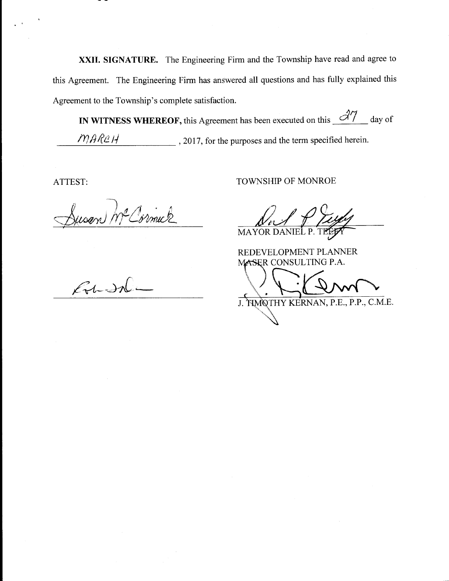XXII. SIGNATURE. The Engineering Firm and the Township have read and agree to this Agreement. The Engineering Firm has answered all questions and has fully explained this Agreement to the Township's complete satisfaction.

IN WITNESS WHEREOF, this Agreement has been executed on this  $\frac{\partial \mathcal{U}}{\partial x}$  day of  $MAR2H$  . 2017, for the purposes and the term specified herein.

Susan McCormuk

ATTEST: TOWNSHIP OF MONROE

NSHIP OF MAYOR DANIEL P.

REDEVELOPMENT PLANNER MASER CONSULTING P.A.

J. HMQTHY KERNAN, P.E., P.P., C.M.E.

 $\mathcal{L}$ t In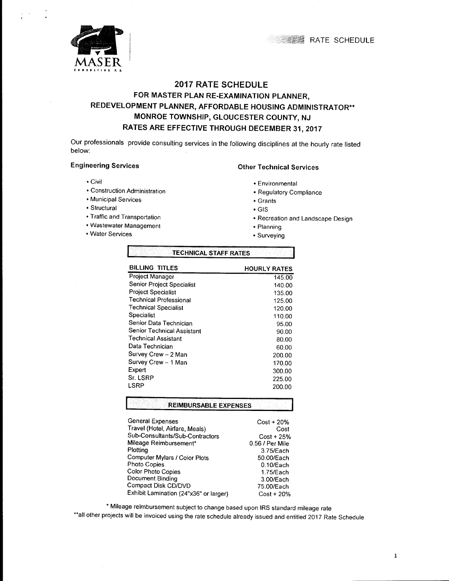

# 2017 RATE SCHEDULE FOR MASTER PLAN RE-EXAMINATION PLANNER, REDEVELOPMENT PLANNER, AFFORDABLE HOUSING ADMINISTRATOR\*\* MONROE TOWNSHIP, GLOUCESTER COUNTY, NJ RATES ARE EFFECTIVE THROUGH DECEMBER 31, 2017

Our professionals provide consulting services in the following disciplines at the hourly rate listed below:

- 
- Civil<br>
 Construction Administration<br>
 Requlatory Corresponding to the Construction Administration
- Municipal Services **Grants**
- 
- Structural GIS
- Wastewater Management **Planning**
- Water Services **Surveying**

### Engineering Services **Engineering Services** Channel Services

- 
- Regulatory Compliance
- 
- 
- Recreation and Landscape Design

**1 RATE SCHEDULE** 

- 
- 

| <b>BILLING TITLES</b>         | <b>HOURLY RATES</b> |
|-------------------------------|---------------------|
| Project Manager               | 145.00              |
| Senior Project Specialist     | 140.00              |
| <b>Project Specialist</b>     | 135.00              |
| <b>Technical Professional</b> | 125.00              |
| <b>Technical Specialist</b>   | 120.00              |
| Specialist                    | 110.00              |
| Senior Data Technician        | 95.00               |
| Senior Technical Assistant    | 90.00               |
| <b>Technical Assistant</b>    | 80.00               |
| Data Technician               | 60.00               |
| Survey Crew - 2 Man           | 200.00              |
| Survey Crew - 1 Man           | 170.00              |
| Expert                        | 300.00              |
| Sr. LSRP                      | 225.00              |
| LSRP                          | 200.00              |
| <b>REIMBURSABLE EXPENSES</b>  |                     |

**ITECHNICAL STAFF RATES** 

| $Cost + 20\%$   |
|-----------------|
| Cost            |
| Cost + 25%      |
| 0.56 / Per Mile |
| 3.75/Each       |
| 50.00/Each      |
| $0.10$ /Each    |
| $1.75$ /Each    |
| 3.00/Each       |
| 75.00/Each      |
| $Cost + 20%$    |
|                 |

Mileage reimbursement subject to change based upon IRS standard mileage rate

\*\*all other projects will be invoiced using the rate schedule already issued and entitled 2017 Rate Schedule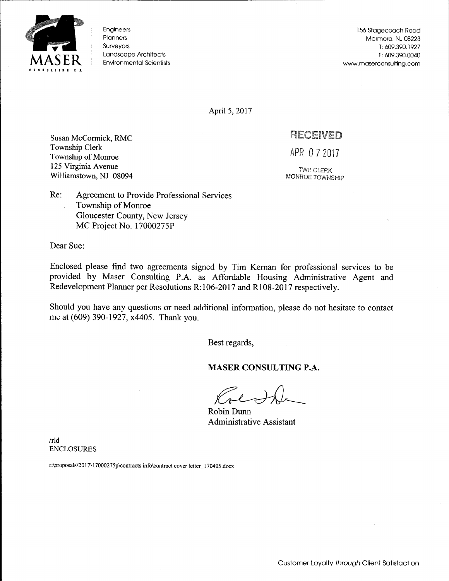

Engineers Planners

156 Stagecoach Road Marmora, NJ 08223 Surveyors T: 609.390. 1927 Landscape Architects F: 609.390.0040 Environmental Scientists www.maserconsulting.corn

April 5, 2017

Susan McCormick, RMC **RECEIVED** Township Clerk<br>Township of Monroe<br>
APR 0 7 2017 125 Virginia Avenue Twp. CLERK<br>Williamstown, NJ 08094 MONROE TOWNSHIP Williamstown, NJ 08094

Re: Agreement to Provide Professional Services Township of Monroe Gloucester County, New Jersey MC Project No. 17000275P

Dear Sue:

Enclosed please find two agreements signed by Tim Kernan for professional services to be provided by Maser Consulting P.A. as Affordable Housing Administrative Agent and Redevelopment Planner per Resolutions R:106-2017 and R108-2017 respectively.

Should you have any questions or need additional information, please do not hesitate to contact me at (609) 390-1927, x4405. Thank you.

Best regards,

MASER CONSULTING P.A.

Robin Dunn Administrative Assistant

rld ENCLOSURES

r:\proposals\ 2017\ 17000275p\ contracts info\contract cover letter 170405. docx